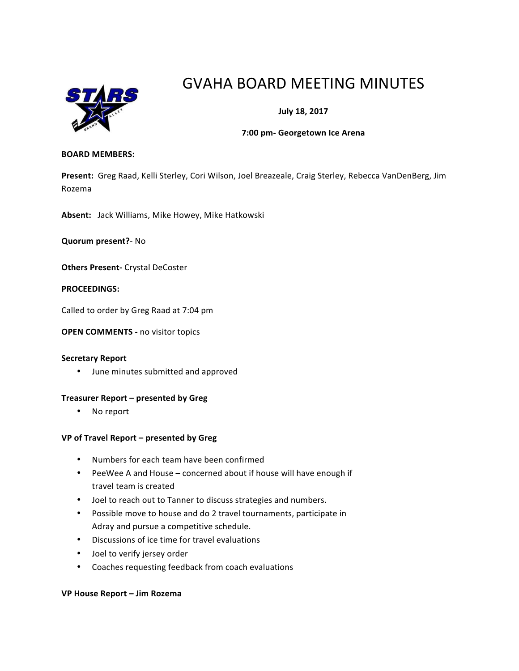

# GVAHA BOARD MEETING MINUTES

# **July 18, 2017**

## **7:00 pm- Georgetown Ice Arena**

#### **BOARD MEMBERS:**

Present: Greg Raad, Kelli Sterley, Cori Wilson, Joel Breazeale, Craig Sterley, Rebecca VanDenBerg, Jim Rozema

Absent: Jack Williams, Mike Howey, Mike Hatkowski

**Quorum present?**- No

**Others Present-** Crystal DeCoster

### **PROCEEDINGS:**

Called to order by Greg Raad at 7:04 pm

**OPEN COMMENTS - no visitor topics** 

#### **Secretary Report**

• June minutes submitted and approved

#### **Treasurer Report – presented by Greg**

• No report

#### **VP of Travel Report – presented by Greg**

- Numbers for each team have been confirmed
- PeeWee A and House concerned about if house will have enough if travel team is created
- Joel to reach out to Tanner to discuss strategies and numbers.
- Possible move to house and do 2 travel tournaments, participate in Adray and pursue a competitive schedule.
- Discussions of ice time for travel evaluations
- Joel to verify jersey order
- Coaches requesting feedback from coach evaluations

#### **VP House Report – Jim Rozema**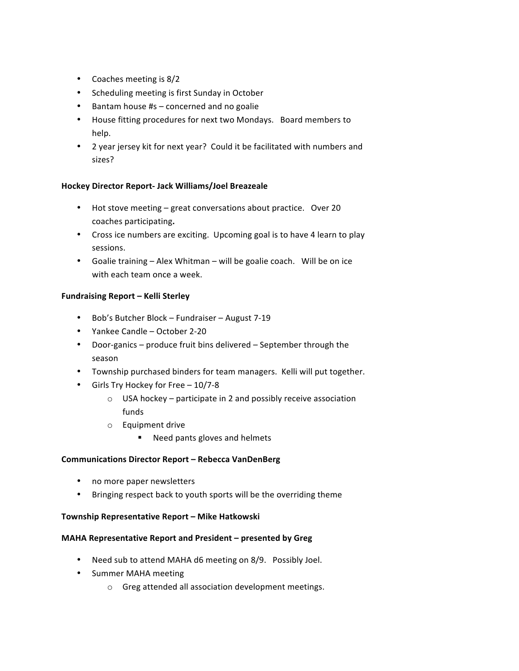- Coaches meeting is 8/2
- Scheduling meeting is first Sunday in October
- Bantam house #s concerned and no goalie
- House fitting procedures for next two Mondays. Board members to help.
- 2 year jersey kit for next year? Could it be facilitated with numbers and sizes?

# **Hockey Director Report- Jack Williams/Joel Breazeale**

- Hot stove meeting great conversations about practice. Over 20 coaches participating**.**
- Cross ice numbers are exciting. Upcoming goal is to have 4 learn to play sessions.
- Goalie training Alex Whitman will be goalie coach. Will be on ice with each team once a week.

# **Fundraising Report – Kelli Sterley**

- Bob's Butcher Block Fundraiser August  $7-19$
- Yankee Candle October 2-20
- Door-ganics produce fruit bins delivered September through the season
- Township purchased binders for team managers. Kelli will put together.
- Girls Try Hockey for Free 10/7-8
	- $\circ$  USA hockey participate in 2 and possibly receive association funds
	- $\circ$  Equipment drive
		- Need pants gloves and helmets

## **Communications Director Report – Rebecca VanDenBerg**

- no more paper newsletters
- Bringing respect back to youth sports will be the overriding theme

## **Township Representative Report – Mike Hatkowski**

## **MAHA Representative Report and President – presented by Greg**

- Need sub to attend MAHA d6 meeting on 8/9. Possibly Joel.
- Summer MAHA meeting
	- o Greg attended all association development meetings.